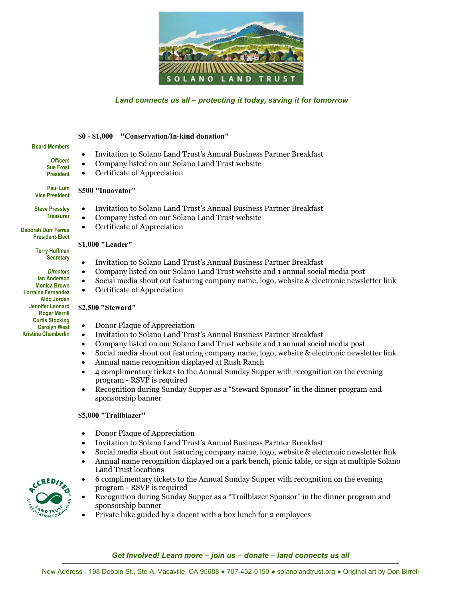

# *Land connects us all – protecting it today, saving it for tomorrow*

#### **\$0 - \$1,000 "Conservation/In-kind donation"**

| <b>Board Members</b><br><b>Officers</b><br><b>Sue Frost</b><br><b>President</b>                                                                                                                                                                                                                                                                                                               | Invitation to Solano Land Trust's Annual Business Partner Breakfast<br>Company listed on our Solano Land Trust website<br>Certificate of Appreciation                                                                                                                                                                                                                                                                                                                                                                                                                                                                                                                                                                                                                                                                                                                                                                                                                                                                                                                                                                                                                    |
|-----------------------------------------------------------------------------------------------------------------------------------------------------------------------------------------------------------------------------------------------------------------------------------------------------------------------------------------------------------------------------------------------|--------------------------------------------------------------------------------------------------------------------------------------------------------------------------------------------------------------------------------------------------------------------------------------------------------------------------------------------------------------------------------------------------------------------------------------------------------------------------------------------------------------------------------------------------------------------------------------------------------------------------------------------------------------------------------------------------------------------------------------------------------------------------------------------------------------------------------------------------------------------------------------------------------------------------------------------------------------------------------------------------------------------------------------------------------------------------------------------------------------------------------------------------------------------------|
| <b>Paul Lum</b><br><b>Vice President</b>                                                                                                                                                                                                                                                                                                                                                      | \$500 "Innovator"                                                                                                                                                                                                                                                                                                                                                                                                                                                                                                                                                                                                                                                                                                                                                                                                                                                                                                                                                                                                                                                                                                                                                        |
| <b>Steve Presslev</b><br><b>Treasurer</b><br><b>Deborah Durr Ferras</b><br><b>President-Elect</b><br><b>Terry Huffman</b><br><b>Secretary</b><br><b>Directors</b><br>lan Anderson<br><b>Monica Brown</b><br><b>Lorraine Fernandez</b><br><b>Aldo Jordan</b><br><b>Jennifer Leonard</b><br><b>Roger Merrill</b><br><b>Curtis Stocking</b><br><b>Carolyn West</b><br><b>Kristina Chamberlin</b> | Invitation to Solano Land Trust's Annual Business Partner Breakfast<br>Company listed on our Solano Land Trust website<br>Certificate of Appreciation<br>$\bullet$<br>\$1,000 "Leader"<br>Invitation to Solano Land Trust's Annual Business Partner Breakfast<br>$\bullet$<br>Company listed on our Solano Land Trust website and 1 annual social media post<br>$\bullet$<br>Social media shout out featuring company name, logo, website & electronic newsletter link<br>Certificate of Appreciation<br>\$2,500 "Steward"<br>Donor Plaque of Appreciation<br>$\bullet$<br>Invitation to Solano Land Trust's Annual Business Partner Breakfast<br>$\bullet$<br>Company listed on our Solano Land Trust website and 1 annual social media post<br>$\bullet$<br>Social media shout out featuring company name, logo, website & electronic newsletter link<br>$\bullet$<br>Annual name recognition displayed at Rush Ranch<br>$\bullet$<br>4 complimentary tickets to the Annual Sunday Supper with recognition on the evening<br>$\bullet$<br>program - RSVP is required<br>Recognition during Sunday Supper as a "Steward Sponsor" in the dinner program and<br>$\bullet$ |
|                                                                                                                                                                                                                                                                                                                                                                                               | sponsorship banner<br>\$5,000 "Trailblazer"<br>Donor Plaque of Appreciation<br>$\bullet$<br>Invitation to Colone Land Trust's Annual Pusiness Dertner President                                                                                                                                                                                                                                                                                                                                                                                                                                                                                                                                                                                                                                                                                                                                                                                                                                                                                                                                                                                                          |

- Invitation to Solano Land Trust's Annual Business Partner Breakfast
- Social media shout out featuring company name, logo, website & electronic newsletter link
- Annual name recognition displayed on a park bench, picnic table, or sign at multiple Solano Land Trust locations
- 6 complimentary tickets to the Annual Sunday Supper with recognition on the evening program - RSVP is required

**AND TRU ION C** 

- Recognition during Sunday Supper as a "Trailblazer Sponsor" in the dinner program and sponsorship banner
- Private hike guided by a docent with a box lunch for 2 employees

*Get Involved! Learn more – join us – donate – land connects us all*